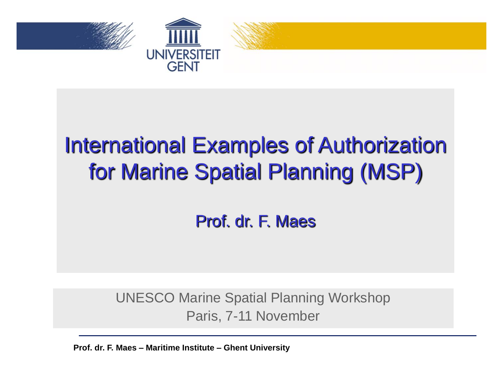



#### International Examples of Authorization for Marine Spatial Planning (MSP)

#### Prof. dr. F. Maes

UNESCO Marine Spatial Planning Workshop Paris, 7-11 November

**Prof. dr. F. Maes – Maritime Institute – Ghent University**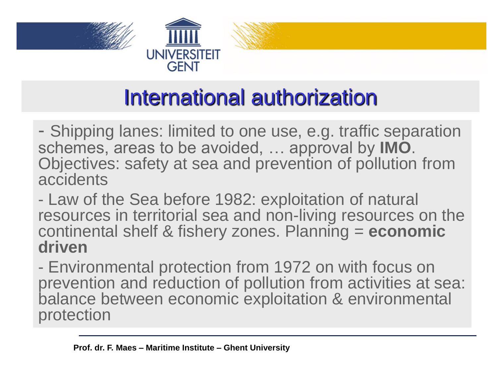

#### International authorization

- Shipping lanes: limited to one use, e.g. traffic separation schemes, areas to be avoided, … approval by **IMO**. Objectives: safety at sea and prevention of pollution from accidents

- Law of the Sea before 1982: exploitation of natural resources in territorial sea and non-living resources on the continental shelf & fishery zones. Planning = **economic driven**

- Environmental protection from 1972 on with focus on prevention and reduction of pollution from activities at sea: balance between economic exploitation & environmental protection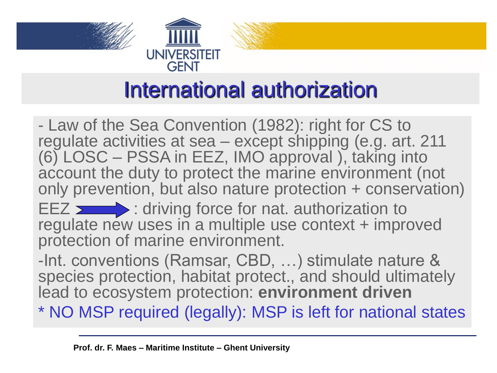



#### International authorization

- Law of the Sea Convention (1982): right for CS to regulate activities at sea – except shipping (e.g. art. 211 (6) LOSC – PSSA in EEZ, IMO approval ), taking into account the duty to protect the marine environment (not only prevention, but also nature protection + conservation) EEZ  $\longrightarrow$ : driving force for nat. authorization to regulate new uses in a multiple use context + improved protection of marine environment.

-Int. conventions (Ramsar, CBD, …) stimulate nature & species protection, habitat protect., and should ultimately lead to ecosystem protection: **environment driven**

\* NO MSP required (legally): MSP is left for national states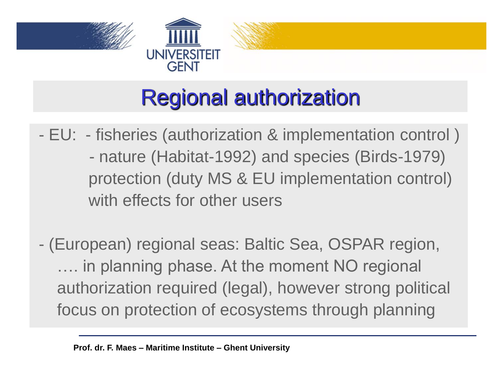



## Regional authorization

- EU: fisheries (authorization & implementation control ) - nature (Habitat-1992) and species (Birds-1979) protection (duty MS & EU implementation control) with effects for other users
- (European) regional seas: Baltic Sea, OSPAR region, .... in planning phase. At the moment NO regional authorization required (legal), however strong political focus on protection of ecosystems through planning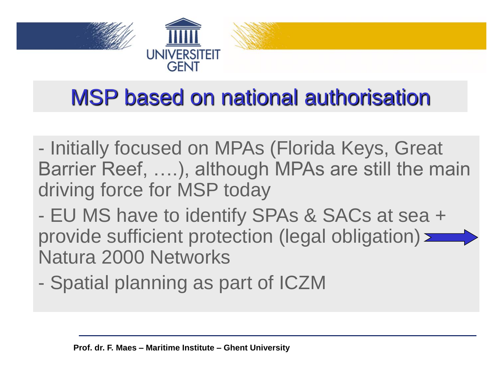

#### MSP based on national authorisation

- Initially focused on MPAs (Florida Keys, Great Barrier Reef, ….), although MPAs are still the main driving force for MSP today
- EU MS have to identify SPAs & SACs at sea + provide sufficient protection (legal obligation)  $\equiv$ Natura 2000 Networks
- Spatial planning as part of ICZM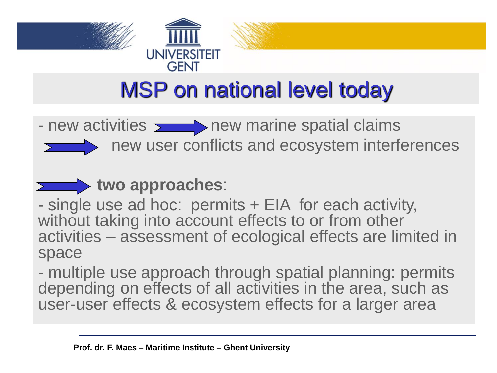



### MSP on national level today

- new activities  $\sum$  new marine spatial claims



new user conflicts and ecosystem interferences



- single use ad hoc: permits + EIA for each activity, without taking into account effects to or from other activities – assessment of ecological effects are limited in space

- multiple use approach through spatial planning: permits depending on effects of all activities in the area, such as user-user effects & ecosystem effects for a larger area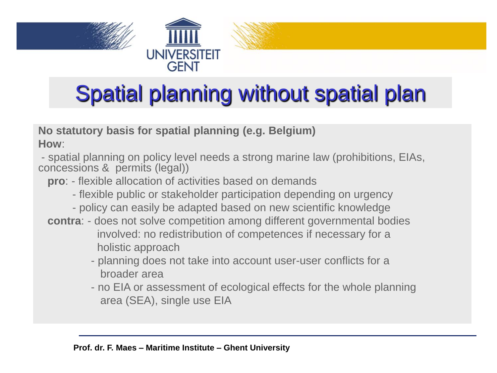



## Spatial planning without spatial plan

**No statutory basis for spatial planning (e.g. Belgium) How**:

- spatial planning on policy level needs a strong marine law (prohibitions, EIAs, concessions & permits (legal))

- **pro**: flexible allocation of activities based on demands
	- flexible public or stakeholder participation depending on urgency
	- policy can easily be adapted based on new scientific knowledge
- **contra**: does not solve competition among different governmental bodies involved: no redistribution of competences if necessary for a holistic approach
	- planning does not take into account user-user conflicts for a broader area
	- no EIA or assessment of ecological effects for the whole planning area (SEA), single use EIA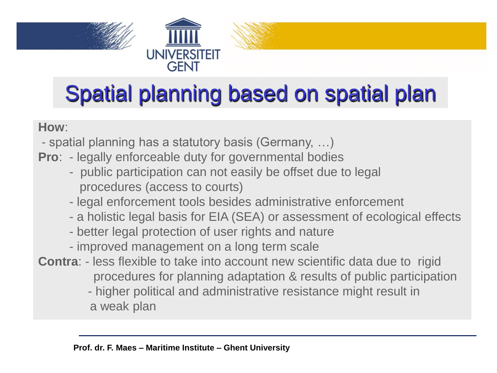





# Spatial planning based on spatial plan

#### **How**:

- spatial planning has a statutory basis (Germany, …)
- **Pro**: legally enforceable duty for governmental bodies
	- public participation can not easily be offset due to legal procedures (access to courts)
	- legal enforcement tools besides administrative enforcement
	- a holistic legal basis for EIA (SEA) or assessment of ecological effects
	- better legal protection of user rights and nature
	- improved management on a long term scale
- **Contra**: less flexible to take into account new scientific data due to rigid procedures for planning adaptation & results of public participation - higher political and administrative resistance might result in a weak plan